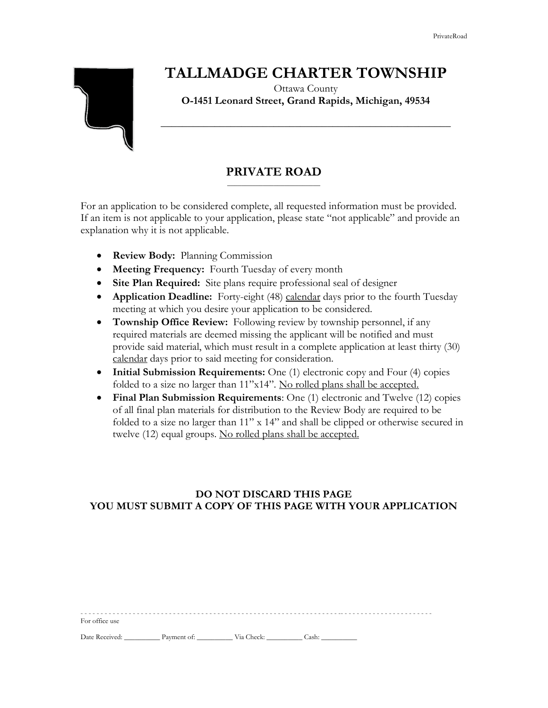## **TALLMADGE CHARTER TOWNSHIP**



### Ottawa County **O-1451 Leonard Street, Grand Rapids, Michigan, 49534**

**\_\_\_\_\_\_\_\_\_\_\_\_\_\_\_\_\_\_\_\_\_\_\_\_\_\_\_\_\_\_\_\_\_\_\_\_\_\_\_\_\_\_\_\_\_\_\_\_\_\_\_\_\_\_**

#### **PRIVATE ROAD** \_\_\_\_\_\_\_\_\_\_\_\_\_\_\_\_\_\_\_\_\_\_\_\_\_\_

For an application to be considered complete, all requested information must be provided. If an item is not applicable to your application, please state "not applicable" and provide an explanation why it is not applicable.

- **Review Body:** Planning Commission
- **Meeting Frequency:** Fourth Tuesday of every month
- **Site Plan Required:** Site plans require professional seal of designer
- **Application Deadline:** Forty-eight (48) calendar days prior to the fourth Tuesday meeting at which you desire your application to be considered.
- **Township Office Review:** Following review by township personnel, if any required materials are deemed missing the applicant will be notified and must provide said material, which must result in a complete application at least thirty (30) calendar days prior to said meeting for consideration.
- **Initial Submission Requirements:** One (1) electronic copy and Four (4) copies folded to a size no larger than 11"x14". No rolled plans shall be accepted.
- **Final Plan Submission Requirements**: One (1) electronic and Twelve (12) copies of all final plan materials for distribution to the Review Body are required to be folded to a size no larger than 11" x 14" and shall be clipped or otherwise secured in twelve (12) equal groups. No rolled plans shall be accepted.

## **DO NOT DISCARD THIS PAGE YOU MUST SUBMIT A COPY OF THIS PAGE WITH YOUR APPLICATION**

| For office use |             |            |       |
|----------------|-------------|------------|-------|
| Date Received: | Payment of: | Via Check: | Cash: |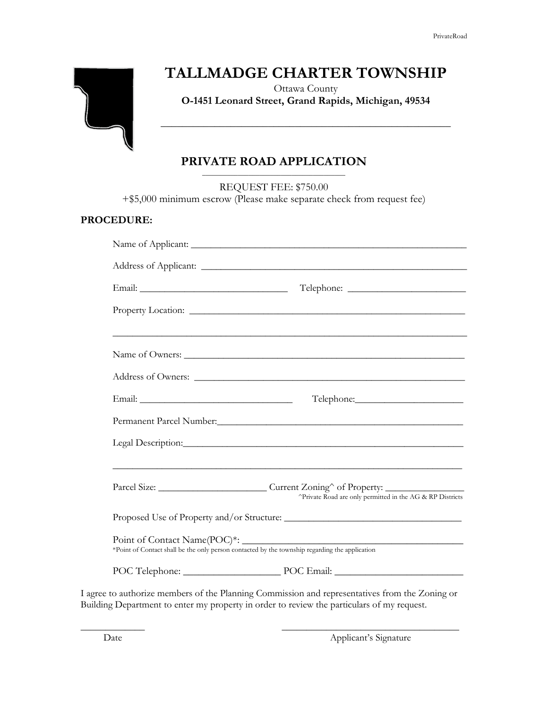# **TALLMADGE CHARTER TOWNSHIP**

Ottawa County **O-1451 Leonard Street, Grand Rapids, Michigan, 49534**

**\_\_\_\_\_\_\_\_\_\_\_\_\_\_\_\_\_\_\_\_\_\_\_\_\_\_\_\_\_\_\_\_\_\_\_\_\_\_\_\_\_\_\_\_\_\_\_\_\_\_\_\_\_\_**

#### **PRIVATE ROAD APPLICATION** \_\_\_\_\_\_\_\_\_\_\_\_\_\_\_\_\_\_\_\_\_\_\_\_\_\_\_\_\_\_\_\_\_\_\_\_\_\_\_\_

REQUEST FEE: \$750.00

+\$5,000 minimum escrow (Please make separate check from request fee)

### **PROCEDURE:**

|  | Name of Owners: Name of Owners:                                                                                                                                                                                                      |  |  |
|--|--------------------------------------------------------------------------------------------------------------------------------------------------------------------------------------------------------------------------------------|--|--|
|  |                                                                                                                                                                                                                                      |  |  |
|  |                                                                                                                                                                                                                                      |  |  |
|  |                                                                                                                                                                                                                                      |  |  |
|  |                                                                                                                                                                                                                                      |  |  |
|  |                                                                                                                                                                                                                                      |  |  |
|  | Parcel Size: ______________________________Current Zoning^ of Property: ____________________________<br>^Private Road are only permitted in the AG & RP Districts                                                                    |  |  |
|  |                                                                                                                                                                                                                                      |  |  |
|  | Point of Contact Name(POC)*: _<br>*Point of Contact shall be the only person contacted by the township regarding the application                                                                                                     |  |  |
|  |                                                                                                                                                                                                                                      |  |  |
|  | <u>is a construction of the construction of the construction of the construction of the construction of the construction of the construction of the construction of the construction of the construction of the construction of </u> |  |  |

I agree to authorize members of the Planning Commission and representatives from the Zoning or Building Department to enter my property in order to review the particulars of my request.

\_\_\_\_\_\_\_\_\_\_\_\_\_ \_\_\_\_\_\_\_\_\_\_\_\_\_\_\_\_\_\_\_\_\_\_\_\_\_\_\_\_\_\_\_\_\_\_\_\_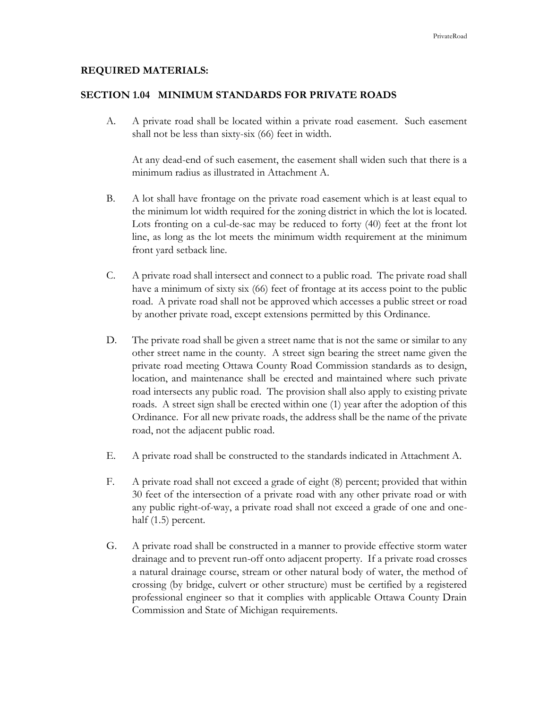#### **REQUIRED MATERIALS:**

#### **SECTION 1.04 MINIMUM STANDARDS FOR PRIVATE ROADS**

A. A private road shall be located within a private road easement. Such easement shall not be less than sixty-six (66) feet in width.

At any dead-end of such easement, the easement shall widen such that there is a minimum radius as illustrated in Attachment A.

- B. A lot shall have frontage on the private road easement which is at least equal to the minimum lot width required for the zoning district in which the lot is located. Lots fronting on a cul-de-sac may be reduced to forty (40) feet at the front lot line, as long as the lot meets the minimum width requirement at the minimum front yard setback line.
- C. A private road shall intersect and connect to a public road. The private road shall have a minimum of sixty six (66) feet of frontage at its access point to the public road. A private road shall not be approved which accesses a public street or road by another private road, except extensions permitted by this Ordinance.
- D. The private road shall be given a street name that is not the same or similar to any other street name in the county. A street sign bearing the street name given the private road meeting Ottawa County Road Commission standards as to design, location, and maintenance shall be erected and maintained where such private road intersects any public road. The provision shall also apply to existing private roads. A street sign shall be erected within one (1) year after the adoption of this Ordinance. For all new private roads, the address shall be the name of the private road, not the adjacent public road.
- E. A private road shall be constructed to the standards indicated in Attachment A.
- F. A private road shall not exceed a grade of eight (8) percent; provided that within 30 feet of the intersection of a private road with any other private road or with any public right-of-way, a private road shall not exceed a grade of one and onehalf (1.5) percent.
- G. A private road shall be constructed in a manner to provide effective storm water drainage and to prevent run-off onto adjacent property. If a private road crosses a natural drainage course, stream or other natural body of water, the method of crossing (by bridge, culvert or other structure) must be certified by a registered professional engineer so that it complies with applicable Ottawa County Drain Commission and State of Michigan requirements.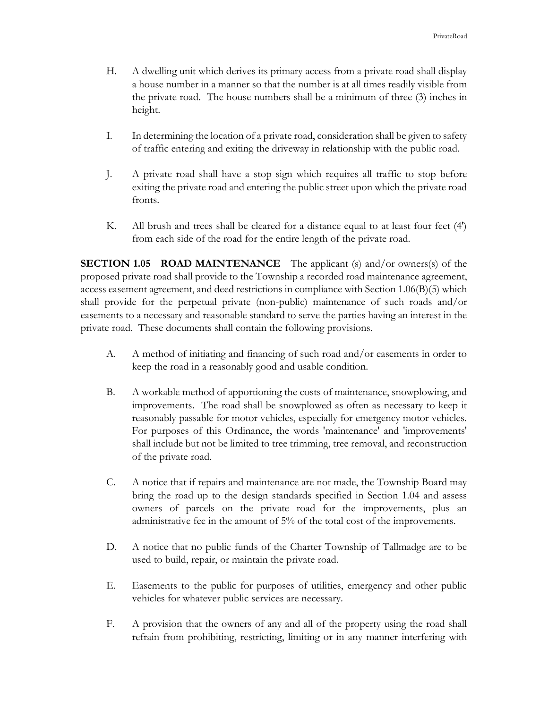- H. A dwelling unit which derives its primary access from a private road shall display a house number in a manner so that the number is at all times readily visible from the private road. The house numbers shall be a minimum of three (3) inches in height.
- I. In determining the location of a private road, consideration shall be given to safety of traffic entering and exiting the driveway in relationship with the public road.
- J. A private road shall have a stop sign which requires all traffic to stop before exiting the private road and entering the public street upon which the private road fronts.
- K. All brush and trees shall be cleared for a distance equal to at least four feet (4') from each side of the road for the entire length of the private road.

**SECTION 1.05 ROAD MAINTENANCE** The applicant (s) and/or owners(s) of the proposed private road shall provide to the Township a recorded road maintenance agreement, access easement agreement, and deed restrictions in compliance with Section 1.06(B)(5) which shall provide for the perpetual private (non-public) maintenance of such roads and/or easements to a necessary and reasonable standard to serve the parties having an interest in the private road. These documents shall contain the following provisions.

- A. A method of initiating and financing of such road and/or easements in order to keep the road in a reasonably good and usable condition.
- B. A workable method of apportioning the costs of maintenance, snowplowing, and improvements. The road shall be snowplowed as often as necessary to keep it reasonably passable for motor vehicles, especially for emergency motor vehicles. For purposes of this Ordinance, the words 'maintenance' and 'improvements' shall include but not be limited to tree trimming, tree removal, and reconstruction of the private road.
- C. A notice that if repairs and maintenance are not made, the Township Board may bring the road up to the design standards specified in Section 1.04 and assess owners of parcels on the private road for the improvements, plus an administrative fee in the amount of 5% of the total cost of the improvements.
- D. A notice that no public funds of the Charter Township of Tallmadge are to be used to build, repair, or maintain the private road.
- E. Easements to the public for purposes of utilities, emergency and other public vehicles for whatever public services are necessary.
- F. A provision that the owners of any and all of the property using the road shall refrain from prohibiting, restricting, limiting or in any manner interfering with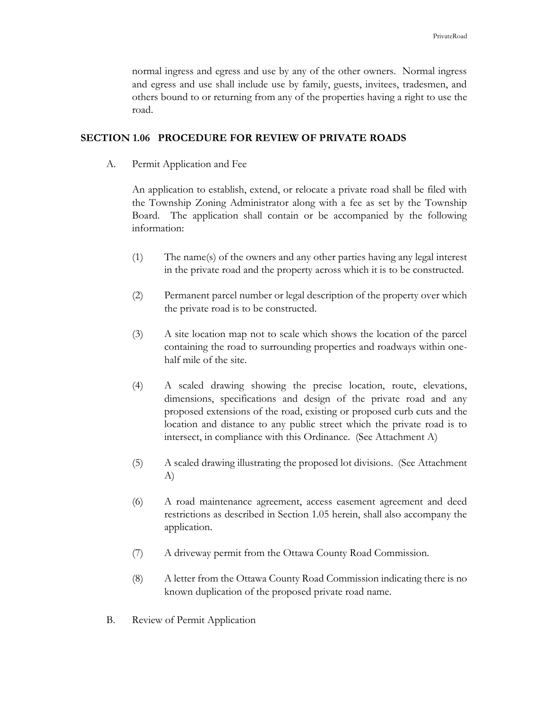normal ingress and egress and use by any of the other owners. Normal ingress and egress and use shall include use by family, guests, invitees, tradesmen, and others bound to or returning from any of the properties having a right to use the road.

#### **SECTION 1.06 PROCEDURE FOR REVIEW OF PRIVATE ROADS**

A. Permit Application and Fee

An application to establish, extend, or relocate a private road shall be filed with the Township Zoning Administrator along with a fee as set by the Township Board. The application shall contain or be accompanied by the following information:

- (1) The name(s) of the owners and any other parties having any legal interest in the private road and the property across which it is to be constructed.
- (2) Permanent parcel number or legal description of the property over which the private road is to be constructed.
- (3) A site location map not to scale which shows the location of the parcel containing the road to surrounding properties and roadways within onehalf mile of the site.
- (4) A scaled drawing showing the precise location, route, elevations, dimensions, specifications and design of the private road and any proposed extensions of the road, existing or proposed curb cuts and the location and distance to any public street which the private road is to intersect, in compliance with this Ordinance. (See Attachment A)
- (5) A scaled drawing illustrating the proposed lot divisions. (See Attachment A)
- (6) A road maintenance agreement, access easement agreement and deed restrictions as described in Section 1.05 herein, shall also accompany the application.
- (7) A driveway permit from the Ottawa County Road Commission.
- (8) A letter from the Ottawa County Road Commission indicating there is no known duplication of the proposed private road name.
- B. Review of Permit Application